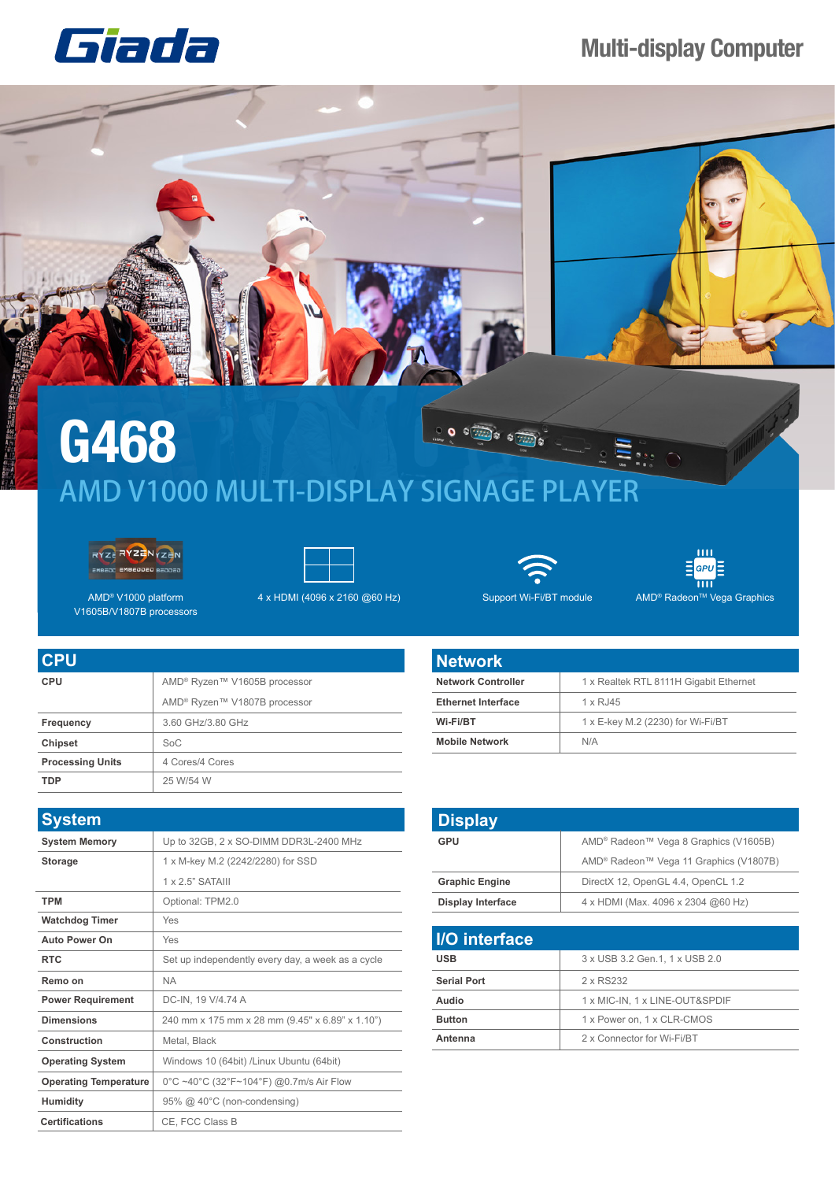## **Multi-display Computer**





## **G468**  $\frac{1}{2}$  o  $\frac{1}{2}$  or  $\frac{1}{2}$ AMD V1000 MULTI-DISPLAY SIGNAGE PLAYER





AMD® V1000 platform V1605B/V1807B processors





 $\overline{\mathbf{m}}$ 

 $AMD^®$ 

| 目 <sup>GPU</sup> 目 |
|--------------------|
| ш                  |
| Radeon™ Vega Grap  |

| <b>Network</b>            |                                        |
|---------------------------|----------------------------------------|
| <b>Network Controller</b> | 1 x Realtek RTL 8111H Gigabit Ethernet |
| <b>Ethernet Interface</b> | $1 \times R$ , 145                     |
| Wi-Fi/BT                  | 1 x E-key M.2 (2230) for Wi-Fi/BT      |
| <b>Mobile Network</b>     | N/A                                    |

| <b>Display</b>           |                                                                |
|--------------------------|----------------------------------------------------------------|
| <b>GPU</b>               | AMD <sup>®</sup> Radeon™ Vega 8 Graphics (V1605B)              |
|                          | AMD <sup>®</sup> Radeon <sup>™</sup> Vega 11 Graphics (V1807B) |
| <b>Graphic Engine</b>    | DirectX 12, OpenGL 4.4, OpenCL 1.2                             |
| <b>Display Interface</b> | 4 x HDMI (Max. 4096 x 2304 @60 Hz)                             |

| <b>I/O</b> interface |                                 |
|----------------------|---------------------------------|
| <b>USB</b>           | 3 x USB 3.2 Gen. 1, 1 x USB 2.0 |
| <b>Serial Port</b>   | 2 x RS232                       |
| Audio                | 1 x MIC-IN, 1 x LINE-OUT&SPDIF  |
| <b>Button</b>        | 1 x Power on, 1 x CLR-CMOS      |
| Antenna              | 2 x Connector for Wi-Fi/BT      |

| <b>CPU</b>              |                                          |
|-------------------------|------------------------------------------|
| <b>CPU</b>              | AMD <sup>®</sup> Ryzen™ V1605B processor |
|                         | AMD <sup>®</sup> Ryzen™ V1807B processor |
| Frequency               | 3.60 GHz/3.80 GHz                        |
| <b>Chipset</b>          | SoC                                      |
| <b>Processing Units</b> | 4 Cores/4 Cores                          |
| <b>TDP</b>              | 25 W/54 W                                |

| <b>System</b>                |                                                   |
|------------------------------|---------------------------------------------------|
| <b>System Memory</b>         | Up to 32GB, 2 x SO-DIMM DDR3L-2400 MHz            |
| <b>Storage</b>               | 1 x M-key M.2 (2242/2280) for SSD                 |
|                              | $1 \times 2.5$ " SATAIII                          |
| <b>TPM</b>                   | Optional: TPM2.0                                  |
| <b>Watchdog Timer</b>        | Yes                                               |
| <b>Auto Power On</b>         | Yes                                               |
| <b>RTC</b>                   | Set up independently every day, a week as a cycle |
| Remo on                      | <b>NA</b>                                         |
| <b>Power Requirement</b>     | DC-IN, 19 V/4.74 A                                |
| <b>Dimensions</b>            | 240 mm x 175 mm x 28 mm (9.45" x 6.89" x 1.10")   |
| Construction                 | Metal, Black                                      |
| <b>Operating System</b>      | Windows 10 (64bit) /Linux Ubuntu (64bit)          |
| <b>Operating Temperature</b> | 0°C ~40°C (32°F~104°F) @0.7m/s Air Flow           |
| <b>Humidity</b>              | 95% @ 40°C (non-condensing)                       |
| Certifications               | CE. FCC Class B                                   |